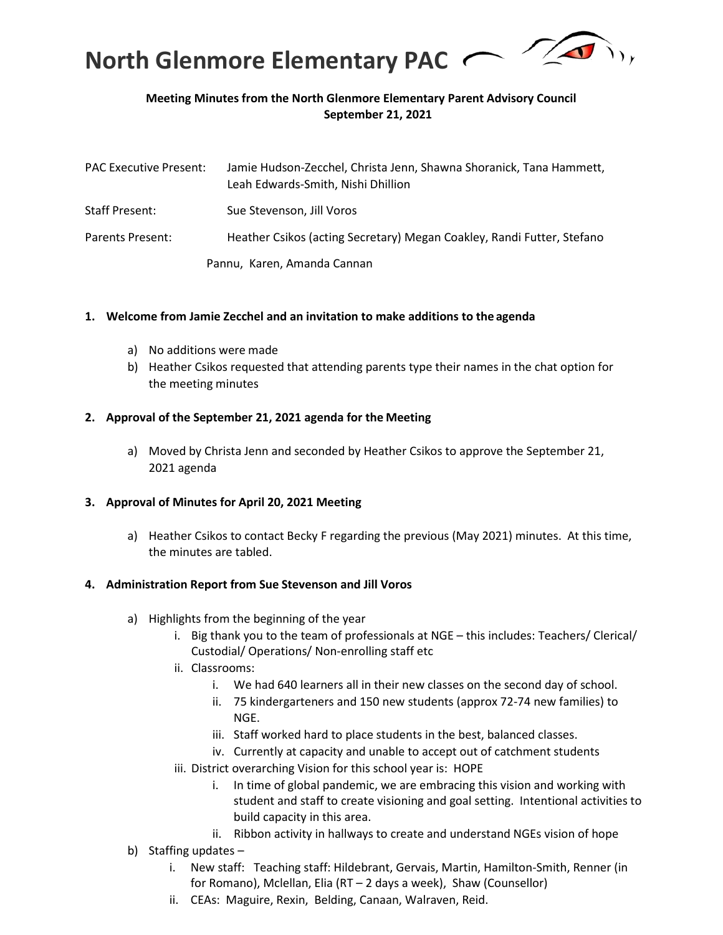

## **Meeting Minutes from the North Glenmore Elementary Parent Advisory Council September 21, 2021**

| <b>PAC Executive Present:</b> | Jamie Hudson-Zecchel, Christa Jenn, Shawna Shoranick, Tana Hammett,<br>Leah Edwards-Smith, Nishi Dhillion |
|-------------------------------|-----------------------------------------------------------------------------------------------------------|
| Staff Present:                | Sue Stevenson, Jill Voros                                                                                 |
| Parents Present:              | Heather Csikos (acting Secretary) Megan Coakley, Randi Futter, Stefano                                    |
|                               | Pannu, Karen, Amanda Cannan                                                                               |

#### **1. Welcome from Jamie Zecchel and an invitation to make additions to the agenda**

- a) No additions were made
- b) Heather Csikos requested that attending parents type their names in the chat option for the meeting minutes

#### **2. Approval of the September 21, 2021 agenda for the Meeting**

a) Moved by Christa Jenn and seconded by Heather Csikos to approve the September 21, 2021 agenda

#### **3. Approval of Minutes for April 20, 2021 Meeting**

a) Heather Csikos to contact Becky F regarding the previous (May 2021) minutes. At this time, the minutes are tabled.

#### **4. Administration Report from Sue Stevenson and Jill Voros**

- a) Highlights from the beginning of the year
	- i. Big thank you to the team of professionals at NGE this includes: Teachers/ Clerical/ Custodial/ Operations/ Non-enrolling staff etc
	- ii. Classrooms:
		- i. We had 640 learners all in their new classes on the second day of school.
		- ii. 75 kindergarteners and 150 new students (approx 72-74 new families) to NGE.
		- iii. Staff worked hard to place students in the best, balanced classes.
		- iv. Currently at capacity and unable to accept out of catchment students
	- iii. District overarching Vision for this school year is: HOPE
		- i. In time of global pandemic, we are embracing this vision and working with student and staff to create visioning and goal setting. Intentional activities to build capacity in this area.
		- ii. Ribbon activity in hallways to create and understand NGEs vision of hope
- b) Staffing updates
	- i. New staff: Teaching staff: Hildebrant, Gervais, Martin, Hamilton-Smith, Renner (in for Romano), Mclellan, Elia (RT – 2 days a week), Shaw (Counsellor)
	- ii. CEAs: Maguire, Rexin, Belding, Canaan, Walraven, Reid.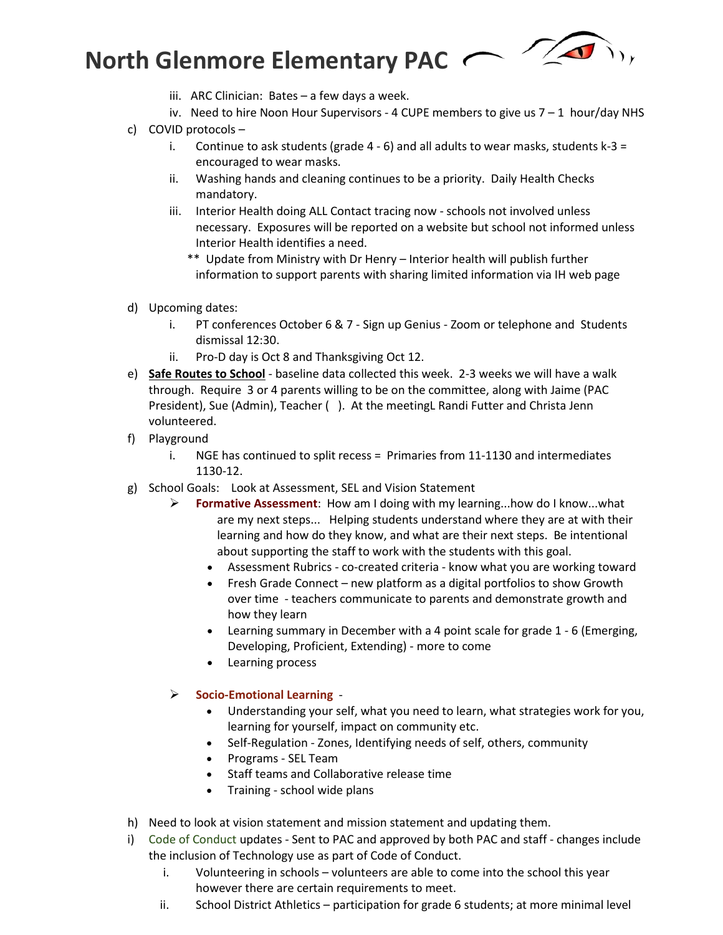# **North Glenmore Elementary PAC**

- iii. ARC Clinician: Bates a few days a week.
- iv. Need to hire Noon Hour Supervisors 4 CUPE members to give us 7 1 hour/day NHS
- c) COVID protocols
	- i. Continue to ask students (grade  $4 6$ ) and all adults to wear masks, students k-3 = encouraged to wear masks.
	- ii. Washing hands and cleaning continues to be a priority. Daily Health Checks mandatory.
	- iii. Interior Health doing ALL Contact tracing now schools not involved unless necessary. Exposures will be reported on a website but school not informed unless Interior Health identifies a need.
		- \*\* Update from Ministry with Dr Henry Interior health will publish further information to support parents with sharing limited information via IH web page
- d) Upcoming dates:
	- i. PT conferences October 6 & 7 Sign up Genius Zoom or telephone and Students dismissal 12:30.
	- ii. Pro-D day is Oct 8 and Thanksgiving Oct 12.
- e) **Safe Routes to School** baseline data collected this week. 2-3 weeks we will have a walk through. Require 3 or 4 parents willing to be on the committee, along with Jaime (PAC President), Sue (Admin), Teacher ( ). At the meetingL Randi Futter and Christa Jenn volunteered.
- f) Playground
	- i. NGE has continued to split recess = Primaries from 11-1130 and intermediates 1130-12.
- g) School Goals: Look at Assessment, SEL and Vision Statement
	- **Formative Assessment**: How am I doing with my learning...how do I know...what are my next steps... Helping students understand where they are at with their learning and how do they know, and what are their next steps. Be intentional about supporting the staff to work with the students with this goal.
		- Assessment Rubrics co-created criteria know what you are working toward
		- Fresh Grade Connect new platform as a digital portfolios to show Growth over time - teachers communicate to parents and demonstrate growth and how they learn
		- Learning summary in December with a 4 point scale for grade 1 6 (Emerging, Developing, Proficient, Extending) - more to come
		- Learning process
	- **Socio-Emotional Learning**
		- Understanding your self, what you need to learn, what strategies work for you, learning for yourself, impact on community etc.
		- Self-Regulation Zones, Identifying needs of self, others, community
		- Programs SEL Team
		- Staff teams and Collaborative release time
		- Training school wide plans
- h) Need to look at vision statement and mission statement and updating them.
- i) Code of Conduct updates Sent to PAC and approved by both PAC and staff changes include the inclusion of Technology use as part of Code of Conduct.
	- i. Volunteering in schools volunteers are able to come into the school this year however there are certain requirements to meet.
	- ii. School District Athletics participation for grade 6 students; at more minimal level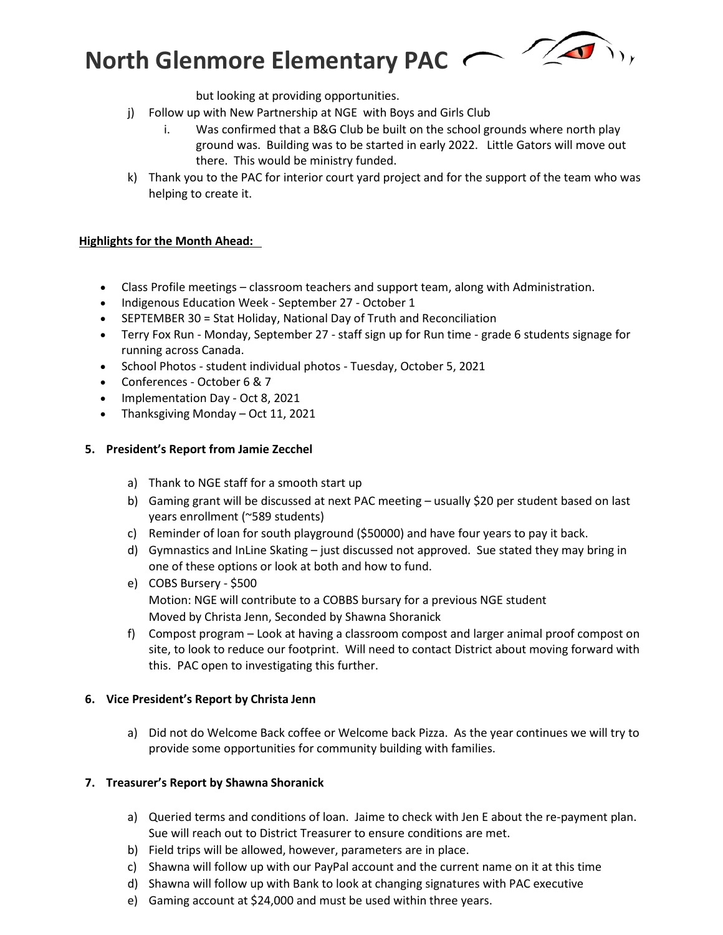# **North Glenmore Elementary PAC**

but looking at providing opportunities.

- j) Follow up with New Partnership at NGE with Boys and Girls Club
	- i. Was confirmed that a B&G Club be built on the school grounds where north play ground was. Building was to be started in early 2022. Little Gators will move out there. This would be ministry funded.
- k) Thank you to the PAC for interior court yard project and for the support of the team who was helping to create it.

### **Highlights for the Month Ahead:**

- Class Profile meetings classroom teachers and support team, along with Administration.
- Indigenous Education Week September 27 October 1
- SEPTEMBER 30 = Stat Holiday, National Day of Truth and Reconciliation
- Terry Fox Run Monday, September 27 staff sign up for Run time grade 6 students signage for running across Canada.
- School Photos student individual photos Tuesday, October 5, 2021
- Conferences October 6 & 7
- Implementation Day Oct 8, 2021
- Thanksgiving Monday Oct 11, 2021

#### **5. President's Report from Jamie Zecchel**

- a) Thank to NGE staff for a smooth start up
- b) Gaming grant will be discussed at next PAC meeting usually \$20 per student based on last years enrollment (~589 students)
- c) Reminder of loan for south playground (\$50000) and have four years to pay it back.
- d) Gymnastics and InLine Skating just discussed not approved. Sue stated they may bring in one of these options or look at both and how to fund.
- e) COBS Bursery \$500 Motion: NGE will contribute to a COBBS bursary for a previous NGE student Moved by Christa Jenn, Seconded by Shawna Shoranick
- f) Compost program Look at having a classroom compost and larger animal proof compost on site, to look to reduce our footprint. Will need to contact District about moving forward with this. PAC open to investigating this further.

#### **6. Vice President's Report by Christa Jenn**

a) Did not do Welcome Back coffee or Welcome back Pizza. As the year continues we will try to provide some opportunities for community building with families.

#### **7. Treasurer's Report by Shawna Shoranick**

- a) Queried terms and conditions of loan. Jaime to check with Jen E about the re-payment plan. Sue will reach out to District Treasurer to ensure conditions are met.
- b) Field trips will be allowed, however, parameters are in place.
- c) Shawna will follow up with our PayPal account and the current name on it at this time
- d) Shawna will follow up with Bank to look at changing signatures with PAC executive
- e) Gaming account at \$24,000 and must be used within three years.